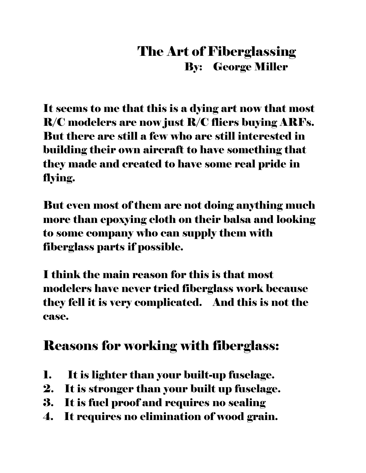#### The Art of Fiberglassing By: George Miller

It seems to me that this is a dying art now that most R/C modelers are now just R/C fliers buying ARFs. But there are still a few who are still interested in building their own aircraft to have something that they made and created to have some real pride in flying.

But even most of them are not doing anything much more than epoxying cloth on their balsa and looking to some company who can supply them with fiberglass parts if possible.

I think the main reason for this is that most modelers have never tried fiberglass work because they fell it is very complicated. And this is not the case.

## Reasons for working with fiberglass:

- 1. It is lighter than your built-up fuselage.
- 2. It is stronger than your built up fuselage.
- 3. It is fuel proof and requires no sealing
- 4. It requires no elimination of wood grain.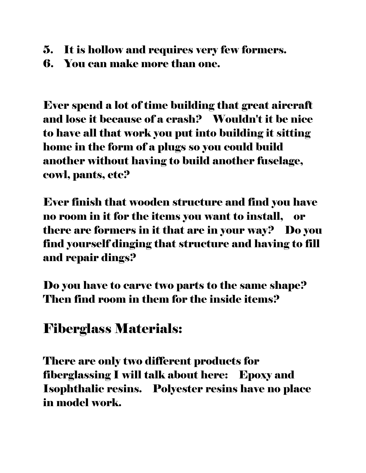- 5. It is hollow and requires very few formers.
- 6. You can make more than one.

Ever spend a lot of time building that great aircraft and lose it because of a crash? Wouldn't it be nice to have all that work you put into building it sitting home in the form of a plugs so you could build another without having to build another fuselage, cowl, pants, etc?

Ever finish that wooden structure and find you have no room in it for the items you want to install, or there are formers in it that are in your way? Do you find yourself dinging that structure and having to fill and repair dings?

Do you have to carve two parts to the same shape? Then find room in them for the inside items?

#### Fiberglass Materials:

There are only two different products for fiberglassing I will talk about here: Epoxy and Isophthalic resins. Polyester resins have no place in model work.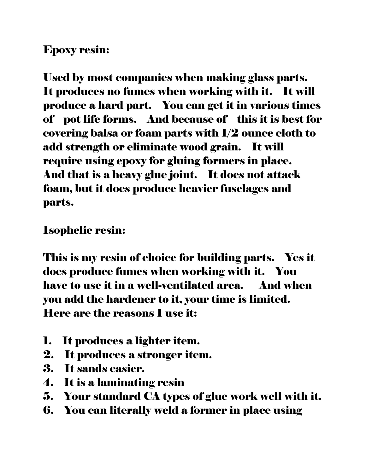#### Epoxy resin:

Used by most companies when making glass parts. It produces no fumes when working with it. It will produce a hard part. You can get it in various times of pot life forms. And because of this it is best for covering balsa or foam parts with 1/2 ounce cloth to add strength or eliminate wood grain. It will require using epoxy for gluing formers in place. And that is a heavy glue joint. It does not attack foam, but it does produce heavier fuselages and parts.

Isophelic resin:

This is my resin of choice for building parts. Yes it does produce fumes when working with it. You have to use it in a well-ventilated area. And when you add the hardener to it, your time is limited. Here are the reasons I use it:

- 1. It produces a lighter item.
- 2. It produces a stronger item.
- 3. It sands easier.
- 4. It is a laminating resin
- 5. Your standard CA types of glue work well with it.
- 6. You can literally weld a former in place using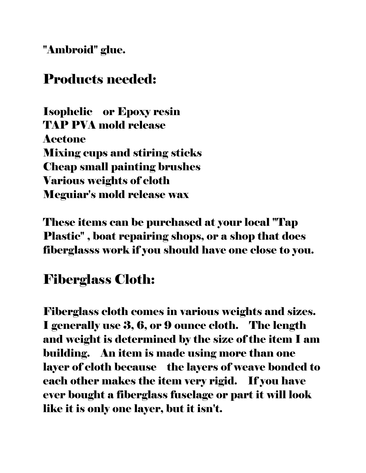"Ambroid" glue.

### Products needed:

Isophelic or Epoxy resin TAP PVA mold release Acetone Mixing cups and stiring sticks Cheap small painting brushes Various weights of cloth Meguiar's mold release wax

These items can be purchased at your local "Tap Plastic" , boat repairing shops, or a shop that does fiberglasss work if you should have one close to you.

## Fiberglass Cloth:

Fiberglass cloth comes in various weights and sizes. I generally use 3, 6, or 9 ounce cloth. The length and weight is determined by the size of the item I am building. An item is made using more than one layer of cloth because the layers of weave bonded to each other makes the item very rigid. If you have ever bought a fiberglass fuselage or part it will look like it is only one layer, but it isn't.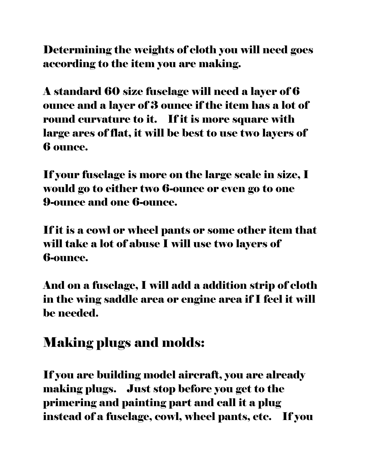Determining the weights of cloth you will need goes according to the item you are making.

A standard 60 size fuselage will need a layer of 6 ounce and a layer of 3 ounce if the item has a lot of round curvature to it. If it is more square with large ares of flat, it will be best to use two layers of 6 ounce.

If your fuselage is more on the large scale in size, I would go to either two 6-ounce or even go to one 9-ounce and one 6-ounce.

If it is a cowl or wheel pants or some other item that will take a lot of abuse I will use two layers of 6-ounce.

And on a fuselage, I will add a addition strip of cloth in the wing saddle area or engine area if I feel it will be needed.

# Making plugs and molds:

If you are building model aircraft, you are already making plugs. Just stop before you get to the primering and painting part and call it a plug instead of a fuselage, cowl, wheel pants, etc. If you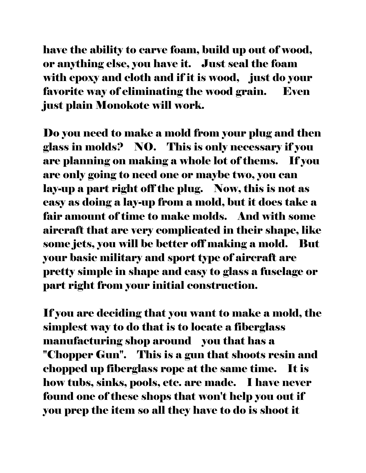have the ability to carve foam, build up out of wood, or anything else, you have it. Just seal the foam with epoxy and cloth and if it is wood, just do your favorite way of eliminating the wood grain. Even just plain Monokote will work.

Do you need to make a mold from your plug and then glass in molds? NO. This is only necessary if you are planning on making a whole lot of thems. If you are only going to need one or maybe two, you can lay-up a part right off the plug. Now, this is not as easy as doing a lay-up from a mold, but it does take a fair amount of time to make molds. And with some aircraft that are very complicated in their shape, like some jets, you will be better off making a mold. But your basic military and sport type of aircraft are pretty simple in shape and easy to glass a fuselage or part right from your initial construction.

If you are deciding that you want to make a mold, the simplest way to do that is to locate a fiberglass manufacturing shop around you that has a "Chopper Gun". This is a gun that shoots resin and chopped up fiberglass rope at the same time. It is how tubs, sinks, pools, etc. are made. I have never found one of these shops that won't help you out if you prep the item so all they have to do is shoot it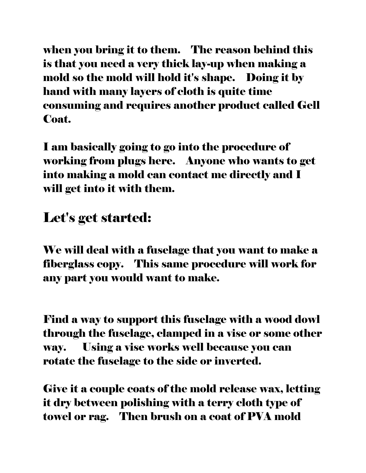when you bring it to them. The reason behind this is that you need a very thick lay-up when making a mold so the mold will hold it's shape. Doing it by hand with many layers of cloth is quite time consuming and requires another product called Gell Coat.

I am basically going to go into the procedure of working from plugs here. Anyone who wants to get into making a mold can contact me directly and I will get into it with them.

### Let's get started:

We will deal with a fuselage that you want to make a fiberglass copy. This same procedure will work for any part you would want to make.

Find a way to support this fuselage with a wood dowl through the fuselage, clamped in a vise or some other way. Using a vise works well because you can rotate the fuselage to the side or inverted.

Give it a couple coats of the mold release wax, letting it dry between polishing with a terry cloth type of towel or rag. Then brush on a coat of PVA mold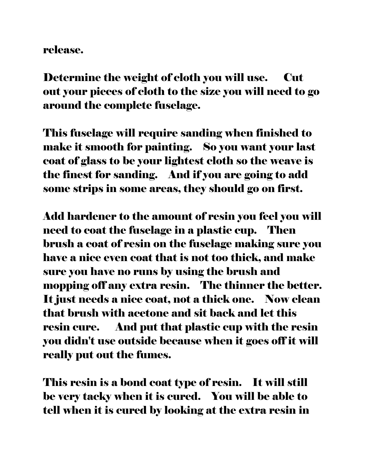#### release.

Determine the weight of cloth you will use. Cut out your pieces of cloth to the size you will need to go around the complete fuselage.

This fuselage will require sanding when finished to make it smooth for painting. So you want your last coat of glass to be your lightest cloth so the weave is the finest for sanding. And if you are going to add some strips in some areas, they should go on first.

Add hardener to the amount of resin you feel you will need to coat the fuselage in a plastic cup. Then brush a coat of resin on the fuselage making sure you have a nice even coat that is not too thick, and make sure you have no runs by using the brush and mopping off any extra resin. The thinner the better. It just needs a nice coat, not a thick one. Now clean that brush with acetone and sit back and let this resin cure. And put that plastic cup with the resin you didn't use outside because when it goes off it will really put out the fumes.

This resin is a bond coat type of resin. It will still be very tacky when it is cured. You will be able to tell when it is cured by looking at the extra resin in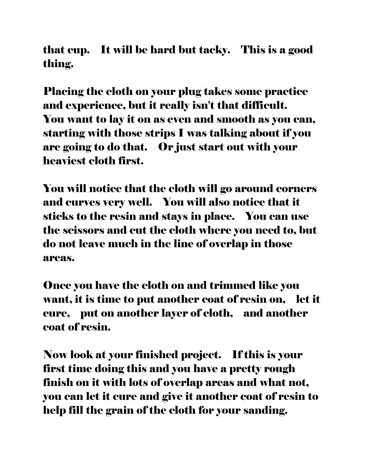that cup. It will be hard but tacky. This is a good thing.

Placing the cloth on your plug takes some practice and experience, but it really isn't that difficult. You want to lay it on as even and smooth as you can, starting with those strips I was talking about if you are going to do that. Or just start out with your heaviest cloth first.

You will notice that the cloth will go around corners and curves very well. You will also notice that it sticks to the resin and stays in place. You can use the scissors and cut the cloth where you need to, but do not leave much in the line of overlap in those areas.

Once you have the cloth on and trimmed like you want, it is time to put another coat of resin on, let it cure, put on another layer of cloth, and another coat of resin.

Now look at your finished project. If this is your first time doing this and you have a pretty rough finish on it with lots of overlap areas and what not, you can let it cure and give it another coat of resin to help fill the grain of the cloth for your sanding.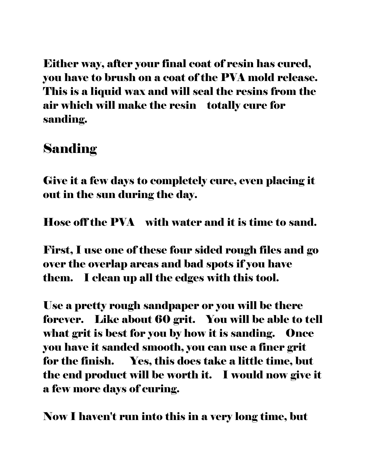Either way, after your final coat of resin has cured, you have to brush on a coat of the PVA mold release. This is a liquid wax and will seal the resins from the air which will make the resin totally cure for sanding.

#### Sanding

Give it a few days to completely cure, even placing it out in the sun during the day.

Hose off the PVA with water and it is time to sand.

First, I use one of these four sided rough files and go over the overlap areas and bad spots if you have them. I clean up all the edges with this tool.

Use a pretty rough sandpaper or you will be there forever. Like about 60 grit. You will be able to tell what grit is best for you by how it is sanding. Once you have it sanded smooth, you can use a finer grit for the finish. Yes, this does take a little time, but the end product will be worth it. I would now give it a few more days of curing.

Now I haven't run into this in a very long time, but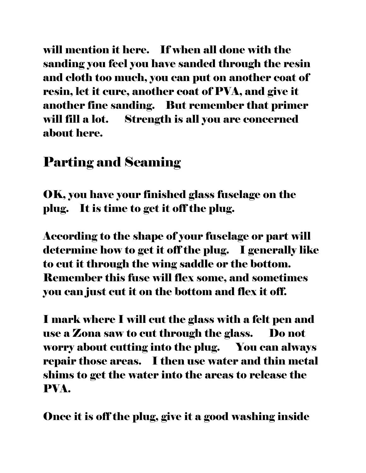will mention it here. If when all done with the sanding you feel you have sanded through the resin and cloth too much, you can put on another coat of resin, let it cure, another coat of PVA, and give it another fine sanding. But remember that primer will fill a lot. Strength is all you are concerned about here.

### Parting and Seaming

OK, you have your finished glass fuselage on the plug. It is time to get it off the plug.

According to the shape of your fuselage or part will determine how to get it off the plug. I generally like to cut it through the wing saddle or the bottom. Remember this fuse will flex some, and sometimes you can just cut it on the bottom and flex it off.

I mark where I will cut the glass with a felt pen and use a Zona saw to cut through the glass. Do not worry about cutting into the plug. You can always repair those areas. I then use water and thin metal shims to get the water into the areas to release the PVA.

Once it is off the plug, give it a good washing inside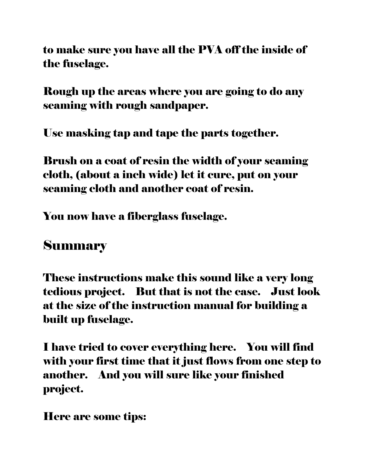to make sure you have all the PVA off the inside of the fuselage.

Rough up the areas where you are going to do any seaming with rough sandpaper.

Use masking tap and tape the parts together.

Brush on a coat of resin the width of your seaming cloth, (about a inch wide) let it cure, put on your seaming cloth and another coat of resin.

You now have a fiberglass fuselage.

#### Summary

These instructions make this sound like a very long tedious project. But that is not the case. Just look at the size of the instruction manual for building a built up fuselage.

I have tried to cover everything here. You will find with your first time that it just flows from one step to another. And you will sure like your finished project.

Here are some tips: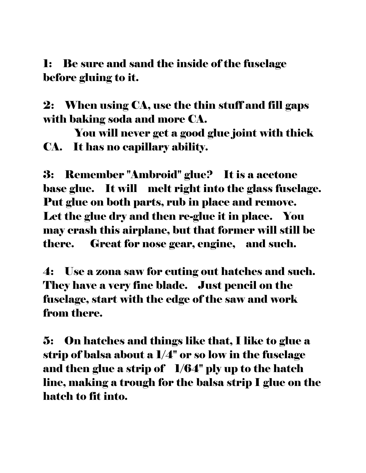1: Be sure and sand the inside of the fuselage before gluing to it.

2: When using CA, use the thin stuff and fill gaps with baking soda and more CA.

 You will never get a good glue joint with thick CA. It has no capillary ability.

3: Remember "Ambroid" glue? It is a acetone base glue. It will melt right into the glass fuselage. Put glue on both parts, rub in place and remove. Let the glue dry and then re-glue it in place. You may crash this airplane, but that former will still be there. Great for nose gear, engine, and such.

4: Use a zona saw for cuting out hatches and such. They have a very fine blade. Just pencil on the fuselage, start with the edge of the saw and work from there.

5: On hatches and things like that, I like to glue a strip of balsa about a 1/4" or so low in the fuselage and then glue a strip of  $1/64"$  ply up to the hatch line, making a trough for the balsa strip I glue on the hatch to fit into.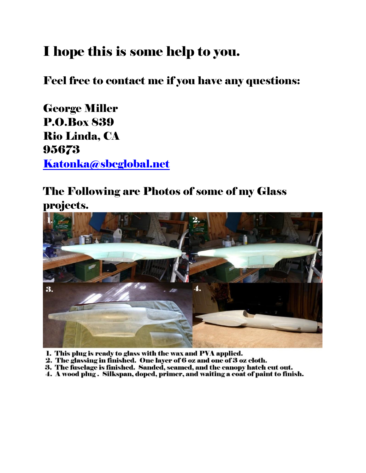# I hope this is some help to you.

Feel free to contact me if you have any questions:

George Miller P.O.Box 839 Rio Linda, CA 95673 [Katonka@sbcglobal.net](mailto:Katonka@sbcglobal.net)

#### The Following are Photos of some of my Glass projects.



- 1. This plug is ready to glass with the wax and PVA applied.
- 2. The glassing in finished. One layer of 6 oz and one of 3 oz cloth.
- 3. The fuselage is finished. Sanded, seamed, and the canopy hatch cut out.
- 4. A wood plug . Silkspan, doped, primer, and waiting a coat of paint to finish.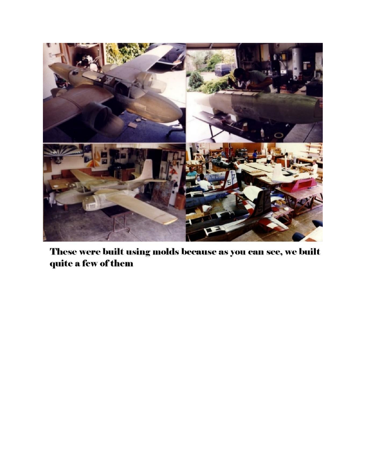

These were built using molds because as you can see, we built quite a few of them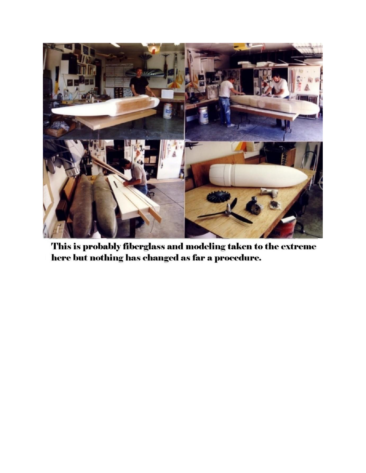

This is probably fiberglass and modeling taken to the extreme here but nothing has changed as far a procedure.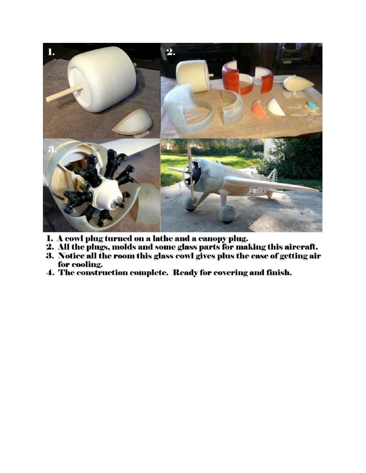

- 
- 1. A cowl plug turned on a lathe and a canopy plug.<br>2. All the plugs, molds and some glass parts for making this aircraft.
- 3. Notice all the room this glass cowl gives plus the ease of getting air for cooling.
- 4. The construction complete. Ready for covering and finish.